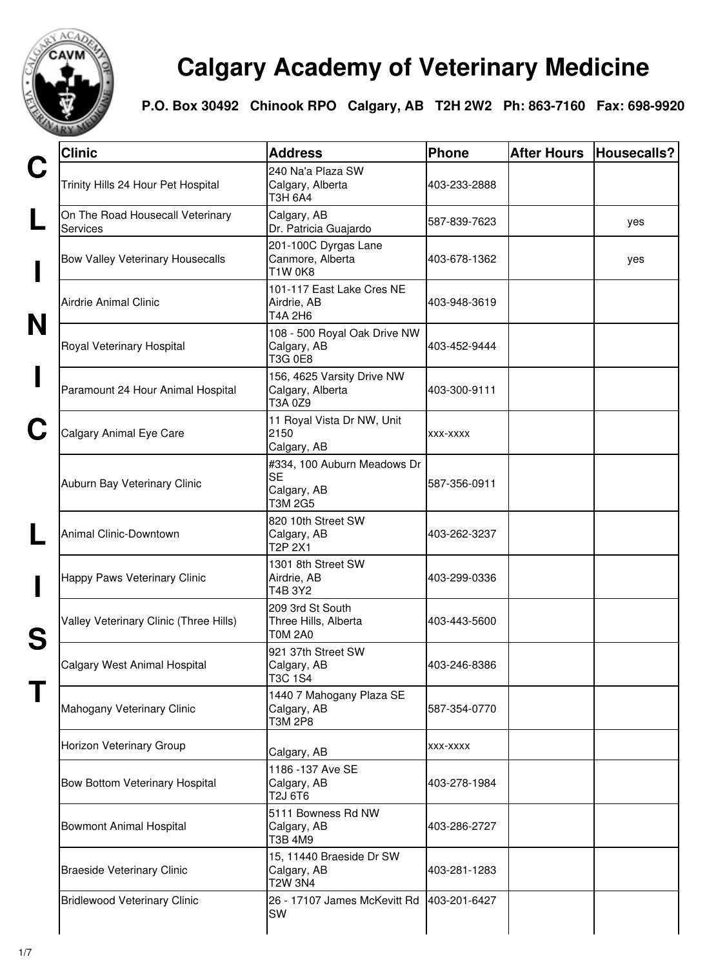

## **Calgary Academy of Veterinary Medicine**

**P.O. Box 30492 Chinook RPO Calgary, AB T2H 2W2 Ph: 863-7160 Fax: 698-9920**

| <b>Clinic</b>                                       | <b>Address</b>                                              | Phone        | <b>After Hours</b> | Housecalls? |
|-----------------------------------------------------|-------------------------------------------------------------|--------------|--------------------|-------------|
| Trinity Hills 24 Hour Pet Hospital                  | 240 Na'a Plaza SW<br>Calgary, Alberta<br>T3H 6A4            | 403-233-2888 |                    |             |
| On The Road Housecall Veterinary<br><b>Services</b> | Calgary, AB<br>Dr. Patricia Guajardo                        | 587-839-7623 |                    | yes         |
| <b>Bow Valley Veterinary Housecalls</b>             | 201-100C Dyrgas Lane<br>Canmore, Alberta<br><b>T1W 0K8</b>  | 403-678-1362 |                    | yes         |
| Airdrie Animal Clinic                               | 101-117 East Lake Cres NE<br>Airdrie, AB<br>T4A 2H6         | 403-948-3619 |                    |             |
| Royal Veterinary Hospital                           | 108 - 500 Royal Oak Drive NW<br>Calgary, AB<br>T3G 0E8      | 403-452-9444 |                    |             |
| Paramount 24 Hour Animal Hospital                   | 156, 4625 Varsity Drive NW<br>Calgary, Alberta<br>T3A 0Z9   | 403-300-9111 |                    |             |
| Calgary Animal Eye Care                             | 11 Royal Vista Dr NW, Unit<br>2150<br>Calgary, AB           | XXX-XXXX     |                    |             |
| Auburn Bay Veterinary Clinic                        | #334, 100 Auburn Meadows Dr<br>SE<br>Calgary, AB<br>T3M 2G5 | 587-356-0911 |                    |             |
| Animal Clinic-Downtown                              | 820 10th Street SW<br>Calgary, AB<br>T <sub>2</sub> P 2X1   | 403-262-3237 |                    |             |
| Happy Paws Veterinary Clinic                        | 1301 8th Street SW<br>Airdrie, AB<br>T4B 3Y2                | 403-299-0336 |                    |             |
| Valley Veterinary Clinic (Three Hills)              | 209 3rd St South<br>Three Hills, Alberta<br>TOM 2A0         | 403-443-5600 |                    |             |
| Calgary West Animal Hospital                        | 921 37th Street SW<br>Calgary, AB<br>T3C 1S4                | 403-246-8386 |                    |             |
| Mahogany Veterinary Clinic                          | 1440 7 Mahogany Plaza SE<br>Calgary, AB<br>T3M 2P8          | 587-354-0770 |                    |             |
| Horizon Veterinary Group                            | Calgary, AB                                                 | XXX-XXXX     |                    |             |
| Bow Bottom Veterinary Hospital                      | 1186 - 137 Ave SE<br>Calgary, AB<br>T2J 6T6                 | 403-278-1984 |                    |             |
| <b>Bowmont Animal Hospital</b>                      | 5111 Bowness Rd NW<br>Calgary, AB<br>T3B 4M9                | 403-286-2727 |                    |             |
| <b>Braeside Veterinary Clinic</b>                   | 15, 11440 Braeside Dr SW<br>Calgary, AB<br>T2W 3N4          | 403-281-1283 |                    |             |
| <b>Bridlewood Veterinary Clinic</b>                 | 26 - 17107 James McKevitt Rd<br>SW                          | 403-201-6427 |                    |             |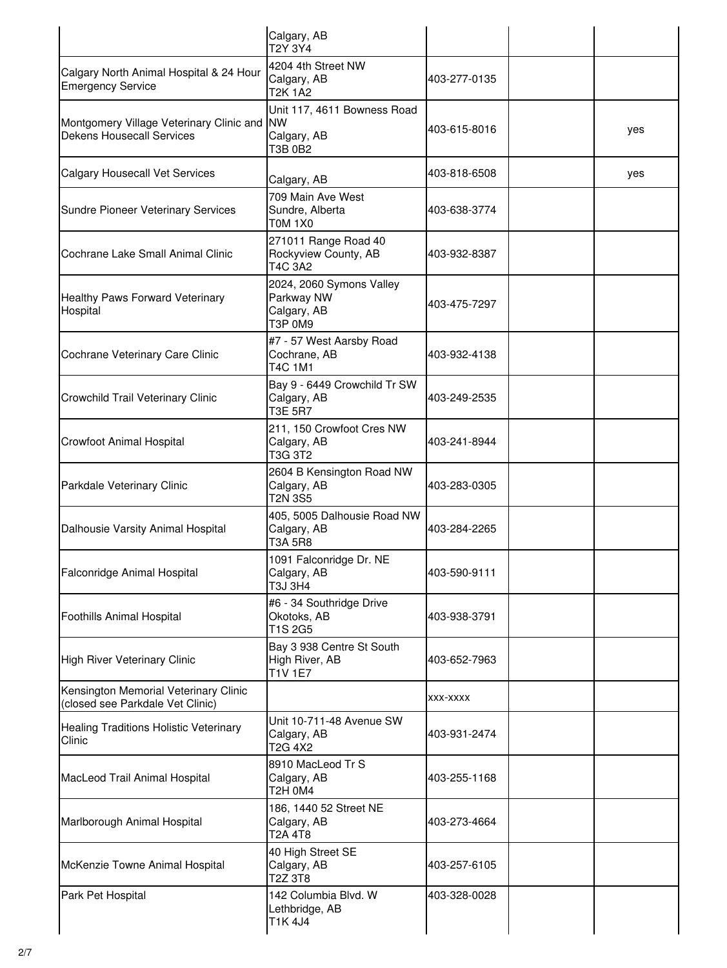|                                                                              | Calgary, AB<br>T2Y 3Y4                                             |              |     |
|------------------------------------------------------------------------------|--------------------------------------------------------------------|--------------|-----|
| Calgary North Animal Hospital & 24 Hour<br><b>Emergency Service</b>          | 4204 4th Street NW<br>Calgary, AB<br>T2K 1A2                       | 403-277-0135 |     |
| Montgomery Village Veterinary Clinic and<br><b>Dekens Housecall Services</b> | Unit 117, 4611 Bowness Road<br><b>NW</b><br>Calgary, AB<br>T3B 0B2 | 403-615-8016 | yes |
| <b>Calgary Housecall Vet Services</b>                                        | Calgary, AB                                                        | 403-818-6508 | yes |
| <b>Sundre Pioneer Veterinary Services</b>                                    | 709 Main Ave West<br>Sundre, Alberta<br>TOM 1X0                    | 403-638-3774 |     |
| Cochrane Lake Small Animal Clinic                                            | 271011 Range Road 40<br>Rockyview County, AB<br>T4C 3A2            | 403-932-8387 |     |
| Healthy Paws Forward Veterinary<br>Hospital                                  | 2024, 2060 Symons Valley<br>Parkway NW<br>Calgary, AB<br>T3P 0M9   | 403-475-7297 |     |
| Cochrane Veterinary Care Clinic                                              | #7 - 57 West Aarsby Road<br>Cochrane, AB<br>T4C 1M1                | 403-932-4138 |     |
| Crowchild Trail Veterinary Clinic                                            | Bay 9 - 6449 Crowchild Tr SW<br>Calgary, AB<br>T3E 5R7             | 403-249-2535 |     |
| <b>Crowfoot Animal Hospital</b>                                              | 211, 150 Crowfoot Cres NW<br>Calgary, AB<br>T3G 3T2                | 403-241-8944 |     |
| Parkdale Veterinary Clinic                                                   | 2604 B Kensington Road NW<br>Calgary, AB<br><b>T2N 3S5</b>         | 403-283-0305 |     |
| Dalhousie Varsity Animal Hospital                                            | 405, 5005 Dalhousie Road NW<br>Calgary, AB<br><b>T3A 5R8</b>       | 403-284-2265 |     |
| Falconridge Animal Hospital                                                  | 1091 Falconridge Dr. NE<br>Calgary, AB<br>T3J 3H4                  | 403-590-9111 |     |
| <b>Foothills Animal Hospital</b>                                             | #6 - 34 Southridge Drive<br>Okotoks, AB<br>T1S 2G5                 | 403-938-3791 |     |
| <b>High River Veterinary Clinic</b>                                          | Bay 3 938 Centre St South<br>High River, AB<br><b>T1V 1E7</b>      | 403-652-7963 |     |
| Kensington Memorial Veterinary Clinic<br>(closed see Parkdale Vet Clinic)    |                                                                    | XXX-XXXX     |     |
| <b>Healing Traditions Holistic Veterinary</b><br>Clinic                      | Unit 10-711-48 Avenue SW<br>Calgary, AB<br>T2G 4X2                 | 403-931-2474 |     |
| MacLeod Trail Animal Hospital                                                | 8910 MacLeod Tr S<br>Calgary, AB<br>T2H 0M4                        | 403-255-1168 |     |
| Marlborough Animal Hospital                                                  | 186, 1440 52 Street NE<br>Calgary, AB<br>T2A 4T8                   | 403-273-4664 |     |
| McKenzie Towne Animal Hospital                                               | 40 High Street SE<br>Calgary, AB<br>T2Z 3T8                        | 403-257-6105 |     |
| Park Pet Hospital                                                            | 142 Columbia Blvd. W<br>Lethbridge, AB<br>T1K 4J4                  | 403-328-0028 |     |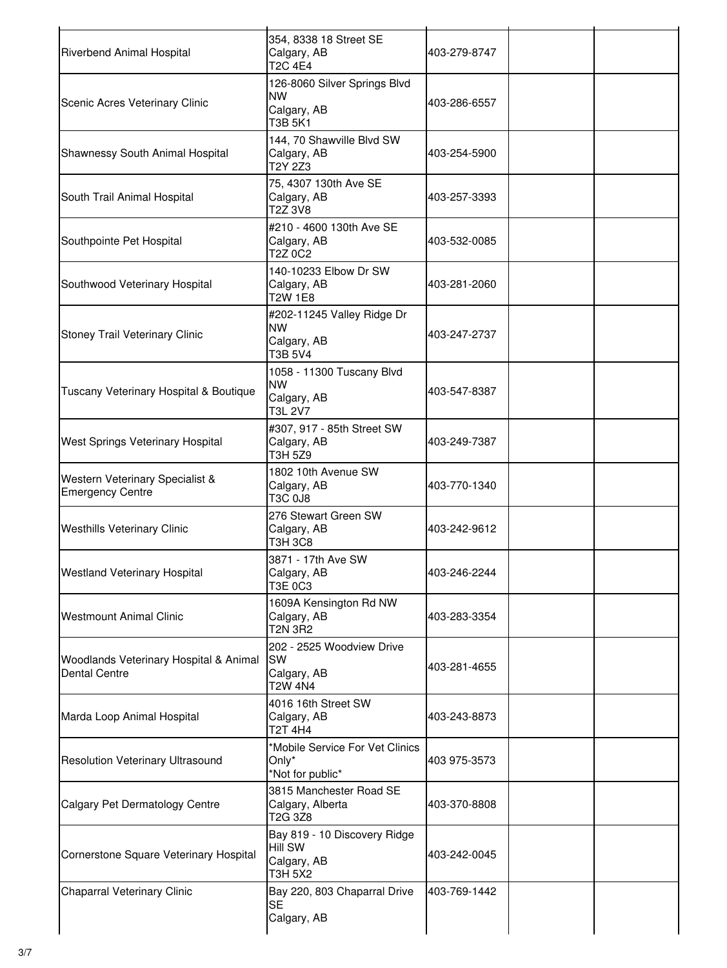| Riverbend Animal Hospital                                      | 354, 8338 18 Street SE<br>Calgary, AB<br><b>T2C 4E4</b>                  | 403-279-8747 |  |
|----------------------------------------------------------------|--------------------------------------------------------------------------|--------------|--|
| Scenic Acres Veterinary Clinic                                 | 126-8060 Silver Springs Blvd<br><b>NW</b><br>Calgary, AB<br>T3B 5K1      | 403-286-6557 |  |
| Shawnessy South Animal Hospital                                | 144, 70 Shawville Blvd SW<br>Calgary, AB<br>T2Y 2Z3                      | 403-254-5900 |  |
| South Trail Animal Hospital                                    | 75, 4307 130th Ave SE<br>Calgary, AB<br>T2Z 3V8                          | 403-257-3393 |  |
| Southpointe Pet Hospital                                       | #210 - 4600 130th Ave SE<br>Calgary, AB<br>T2Z 0C2                       | 403-532-0085 |  |
| Southwood Veterinary Hospital                                  | 140-10233 Elbow Dr SW<br>Calgary, AB<br>T2W 1E8                          | 403-281-2060 |  |
| <b>Stoney Trail Veterinary Clinic</b>                          | #202-11245 Valley Ridge Dr<br><b>NW</b><br>Calgary, AB<br>T3B 5V4        | 403-247-2737 |  |
| Tuscany Veterinary Hospital & Boutique                         | 1058 - 11300 Tuscany Blvd<br><b>NW</b><br>Calgary, AB<br>T3L 2V7         | 403-547-8387 |  |
| West Springs Veterinary Hospital                               | #307, 917 - 85th Street SW<br>Calgary, AB<br>T3H 5Z9                     | 403-249-7387 |  |
| Western Veterinary Specialist &<br><b>Emergency Centre</b>     | 1802 10th Avenue SW<br>Calgary, AB<br>T3C 0J8                            | 403-770-1340 |  |
| <b>Westhills Veterinary Clinic</b>                             | 276 Stewart Green SW<br>Calgary, AB<br>T3H 3C8                           | 403-242-9612 |  |
| <b>Westland Veterinary Hospital</b>                            | 3871 - 17th Ave SW<br>Calgary, AB<br>T3E 0C3                             | 403-246-2244 |  |
| <b>Westmount Animal Clinic</b>                                 | 1609A Kensington Rd NW<br>Calgary, AB<br>T2N 3R2                         | 403-283-3354 |  |
| Woodlands Veterinary Hospital & Animal<br><b>Dental Centre</b> | 202 - 2525 Woodview Drive<br>SW<br>Calgary, AB<br><b>T2W 4N4</b>         | 403-281-4655 |  |
| Marda Loop Animal Hospital                                     | 4016 16th Street SW<br>Calgary, AB<br>T2T 4H4                            | 403-243-8873 |  |
| <b>Resolution Veterinary Ultrasound</b>                        | *Mobile Service For Vet Clinics<br>Only*<br>*Not for public*             | 403 975-3573 |  |
| Calgary Pet Dermatology Centre                                 | 3815 Manchester Road SE<br>Calgary, Alberta<br>T2G 3Z8                   | 403-370-8808 |  |
| Cornerstone Square Veterinary Hospital                         | Bay 819 - 10 Discovery Ridge<br><b>Hill SW</b><br>Calgary, AB<br>T3H 5X2 | 403-242-0045 |  |
| Chaparral Veterinary Clinic                                    | Bay 220, 803 Chaparral Drive<br><b>SE</b><br>Calgary, AB                 | 403-769-1442 |  |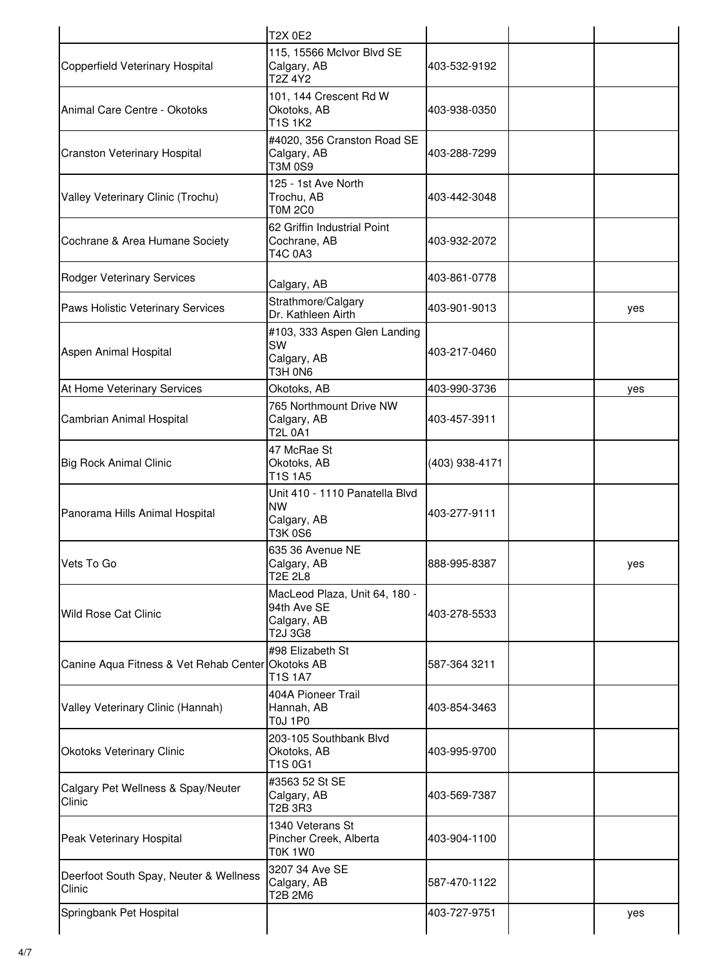|                                                   | <b>T2X 0E2</b>                                                         |                |     |
|---------------------------------------------------|------------------------------------------------------------------------|----------------|-----|
| Copperfield Veterinary Hospital                   | 115, 15566 McIvor Blvd SE<br>Calgary, AB<br>T2Z 4Y2                    | 403-532-9192   |     |
| Animal Care Centre - Okotoks                      | 101, 144 Crescent Rd W<br>Okotoks, AB<br>T1S 1K2                       | 403-938-0350   |     |
| <b>Cranston Veterinary Hospital</b>               | #4020, 356 Cranston Road SE<br>Calgary, AB<br>T3M 0S9                  | 403-288-7299   |     |
| Valley Veterinary Clinic (Trochu)                 | 125 - 1st Ave North<br>Trochu, AB<br>T0M 2C0                           | 403-442-3048   |     |
| Cochrane & Area Humane Society                    | 62 Griffin Industrial Point<br>Cochrane, AB<br>T4C 0A3                 | 403-932-2072   |     |
| <b>Rodger Veterinary Services</b>                 | Calgary, AB                                                            | 403-861-0778   |     |
| Paws Holistic Veterinary Services                 | Strathmore/Calgary<br>Dr. Kathleen Airth                               | 403-901-9013   | yes |
| Aspen Animal Hospital                             | #103, 333 Aspen Glen Landing<br>SW<br>Calgary, AB<br>T3H 0N6           | 403-217-0460   |     |
| At Home Veterinary Services                       | Okotoks, AB                                                            | 403-990-3736   | yes |
| Cambrian Animal Hospital                          | 765 Northmount Drive NW<br>Calgary, AB<br>T2L 0A1                      | 403-457-3911   |     |
| <b>Big Rock Animal Clinic</b>                     | 47 McRae St<br>Okotoks, AB<br>T1S 1A5                                  | (403) 938-4171 |     |
| Panorama Hills Animal Hospital                    | Unit 410 - 1110 Panatella Blvd<br><b>NW</b><br>Calgary, AB<br>T3K 0S6  | 403-277-9111   |     |
| Vets To Go                                        | 635 36 Avenue NE<br>Calgary, AB<br>T2E 2L8                             | 888-995-8387   | yes |
| <b>Wild Rose Cat Clinic</b>                       | MacLeod Plaza, Unit 64, 180 -<br>94th Ave SE<br>Calgary, AB<br>T2J 3G8 | 403-278-5533   |     |
| Canine Aqua Fitness & Vet Rehab Center Okotoks AB | #98 Elizabeth St<br>T1S 1A7                                            | 587-364 3211   |     |
| Valley Veterinary Clinic (Hannah)                 | 404A Pioneer Trail<br>Hannah, AB<br>T0J 1P0                            | 403-854-3463   |     |
| Okotoks Veterinary Clinic                         | 203-105 Southbank Blvd<br>Okotoks, AB<br>T1S 0G1                       | 403-995-9700   |     |
| Calgary Pet Wellness & Spay/Neuter<br>Clinic      | #3563 52 St SE<br>Calgary, AB<br>T2B 3R3                               | 403-569-7387   |     |
| Peak Veterinary Hospital                          | 1340 Veterans St<br>Pincher Creek, Alberta<br>T0K 1W0                  | 403-904-1100   |     |
| Deerfoot South Spay, Neuter & Wellness<br>Clinic  | 3207 34 Ave SE<br>Calgary, AB<br>T2B 2M6                               | 587-470-1122   |     |
| Springbank Pet Hospital                           |                                                                        | 403-727-9751   | yes |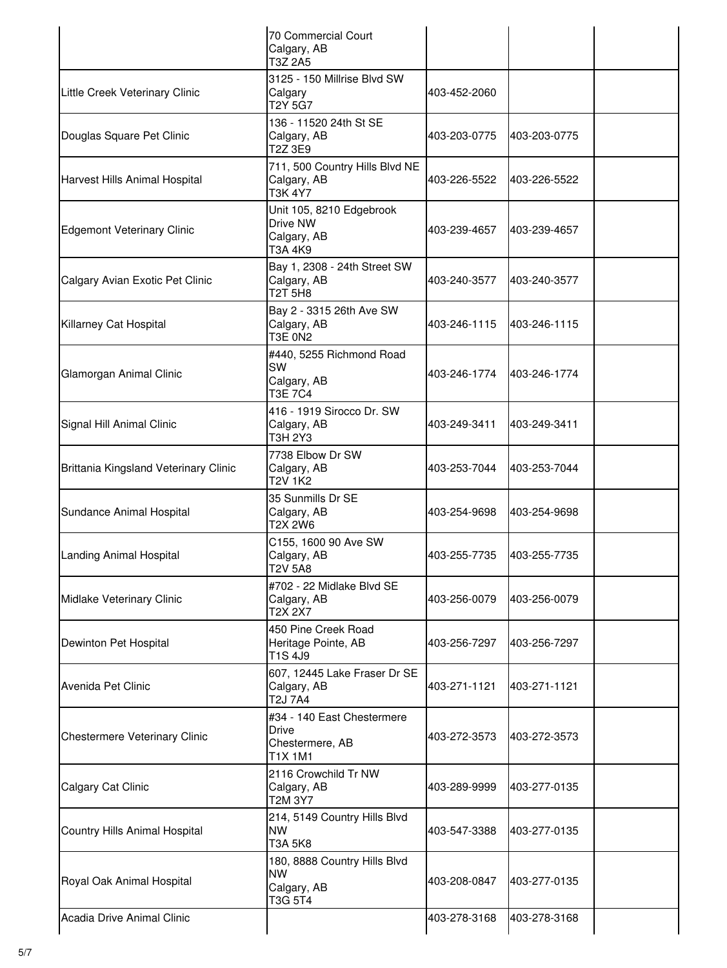|                                       | 70 Commercial Court<br>Calgary, AB<br>T3Z 2A5                            |              |              |  |
|---------------------------------------|--------------------------------------------------------------------------|--------------|--------------|--|
| Little Creek Veterinary Clinic        | 3125 - 150 Millrise Blvd SW<br>Calgary<br>T2Y 5G7                        | 403-452-2060 |              |  |
| Douglas Square Pet Clinic             | 136 - 11520 24th St SE<br>Calgary, AB<br>T2Z 3E9                         | 403-203-0775 | 403-203-0775 |  |
| Harvest Hills Animal Hospital         | 711, 500 Country Hills Blvd NE<br>Calgary, AB<br>T3K 4Y7                 | 403-226-5522 | 403-226-5522 |  |
| <b>Edgemont Veterinary Clinic</b>     | Unit 105, 8210 Edgebrook<br>Drive NW<br>Calgary, AB<br>T3A 4K9           | 403-239-4657 | 403-239-4657 |  |
| Calgary Avian Exotic Pet Clinic       | Bay 1, 2308 - 24th Street SW<br>Calgary, AB<br><b>T2T 5H8</b>            | 403-240-3577 | 403-240-3577 |  |
| Killarney Cat Hospital                | Bay 2 - 3315 26th Ave SW<br>Calgary, AB<br>T3E 0N2                       | 403-246-1115 | 403-246-1115 |  |
| Glamorgan Animal Clinic               | #440, 5255 Richmond Road<br>SW<br>Calgary, AB<br>T3E 7C4                 | 403-246-1774 | 403-246-1774 |  |
| Signal Hill Animal Clinic             | 416 - 1919 Sirocco Dr. SW<br>Calgary, AB<br>T3H 2Y3                      | 403-249-3411 | 403-249-3411 |  |
| Brittania Kingsland Veterinary Clinic | 7738 Elbow Dr SW<br>Calgary, AB<br><b>T2V 1K2</b>                        | 403-253-7044 | 403-253-7044 |  |
| Sundance Animal Hospital              | 35 Sunmills Dr SE<br>Calgary, AB<br>T2X 2W6                              | 403-254-9698 | 403-254-9698 |  |
| Landing Animal Hospital               | C155, 1600 90 Ave SW<br>Calgary, AB<br><b>T2V 5A8</b>                    | 403-255-7735 | 403-255-7735 |  |
| Midlake Veterinary Clinic             | #702 - 22 Midlake Blvd SE<br>Calgary, AB<br>T2X 2X7                      | 403-256-0079 | 403-256-0079 |  |
| Dewinton Pet Hospital                 | 450 Pine Creek Road<br>Heritage Pointe, AB<br>T1S 4J9                    | 403-256-7297 | 403-256-7297 |  |
| Avenida Pet Clinic                    | 607, 12445 Lake Fraser Dr SE<br>Calgary, AB<br>T2J 7A4                   | 403-271-1121 | 403-271-1121 |  |
| Chestermere Veterinary Clinic         | #34 - 140 East Chestermere<br><b>Drive</b><br>Chestermere, AB<br>T1X 1M1 | 403-272-3573 | 403-272-3573 |  |
| Calgary Cat Clinic                    | 2116 Crowchild Tr NW<br>Calgary, AB<br>T2M 3Y7                           | 403-289-9999 | 403-277-0135 |  |
| Country Hills Animal Hospital         | 214, 5149 Country Hills Blvd<br>NW.<br>T3A 5K8                           | 403-547-3388 | 403-277-0135 |  |
| Royal Oak Animal Hospital             | 180, 8888 Country Hills Blvd<br>NW.<br>Calgary, AB<br>T3G 5T4            | 403-208-0847 | 403-277-0135 |  |
| Acadia Drive Animal Clinic            |                                                                          | 403-278-3168 | 403-278-3168 |  |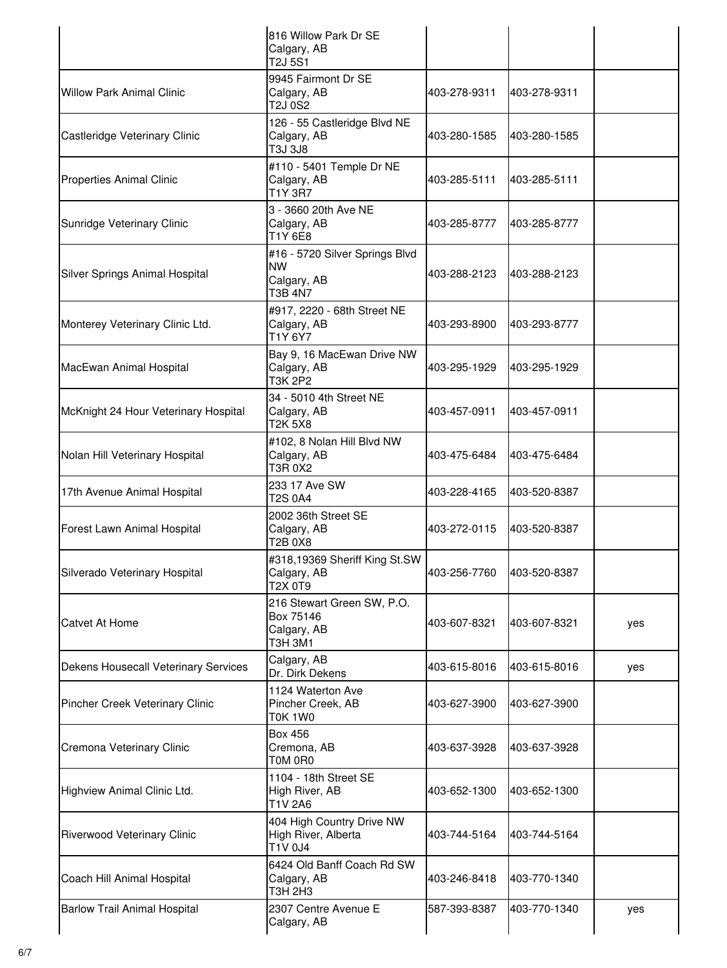|                                      | 816 Willow Park Dr SE<br>Calgary, AB<br>T2J 5S1                       |              |              |     |
|--------------------------------------|-----------------------------------------------------------------------|--------------|--------------|-----|
| <b>Willow Park Animal Clinic</b>     | 9945 Fairmont Dr SE<br>Calgary, AB<br>T2J 0S2                         | 403-278-9311 | 403-278-9311 |     |
| Castleridge Veterinary Clinic        | 126 - 55 Castleridge Blvd NE<br>Calgary, AB<br>T3J 3J8                | 403-280-1585 | 403-280-1585 |     |
| Properties Animal Clinic             | #110 - 5401 Temple Dr NE<br>Calgary, AB<br>T1Y 3R7                    | 403-285-5111 | 403-285-5111 |     |
| Sunridge Veterinary Clinic           | 3 - 3660 20th Ave NE<br>Calgary, AB<br>T1Y 6E8                        | 403-285-8777 | 403-285-8777 |     |
| Silver Springs Animal Hospital       | #16 - 5720 Silver Springs Blvd<br><b>NW</b><br>Calgary, AB<br>T3B 4N7 | 403-288-2123 | 403-288-2123 |     |
| Monterey Veterinary Clinic Ltd.      | #917, 2220 - 68th Street NE<br>Calgary, AB<br>T1Y 6Y7                 | 403-293-8900 | 403-293-8777 |     |
| MacEwan Animal Hospital              | Bay 9, 16 MacEwan Drive NW<br>Calgary, AB<br>T3K 2P2                  | 403-295-1929 | 403-295-1929 |     |
| McKnight 24 Hour Veterinary Hospital | 34 - 5010 4th Street NE<br>Calgary, AB<br>T2K 5X8                     | 403-457-0911 | 403-457-0911 |     |
| Nolan Hill Veterinary Hospital       | #102, 8 Nolan Hill Blvd NW<br>Calgary, AB<br>T3R 0X2                  | 403-475-6484 | 403-475-6484 |     |
| 17th Avenue Animal Hospital          | 233 17 Ave SW<br>T2S 0A4                                              | 403-228-4165 | 403-520-8387 |     |
| Forest Lawn Animal Hospital          | 2002 36th Street SE<br>Calgary, AB<br>T2B 0X8                         | 403-272-0115 | 403-520-8387 |     |
| Silverado Veterinary Hospital        | #318,19369 Sheriff King St.SW<br>Calgary, AB<br>T2X 0T9               | 403-256-7760 | 403-520-8387 |     |
| <b>Catvet At Home</b>                | 216 Stewart Green SW, P.O.<br>Box 75146<br>Calgary, AB<br>T3H 3M1     | 403-607-8321 | 403-607-8321 | yes |
| Dekens Housecall Veterinary Services | Calgary, AB<br>Dr. Dirk Dekens                                        | 403-615-8016 | 403-615-8016 | yes |
| Pincher Creek Veterinary Clinic      | 1124 Waterton Ave<br>Pincher Creek, AB<br><b>T0K 1W0</b>              | 403-627-3900 | 403-627-3900 |     |
| Cremona Veterinary Clinic            | <b>Box 456</b><br>Cremona, AB<br>T0M 0R0                              | 403-637-3928 | 403-637-3928 |     |
| Highview Animal Clinic Ltd.          | 1104 - 18th Street SE<br>High River, AB<br>T1V 2A6                    | 403-652-1300 | 403-652-1300 |     |
| Riverwood Veterinary Clinic          | 404 High Country Drive NW<br>High River, Alberta<br>T1V 0J4           | 403-744-5164 | 403-744-5164 |     |
| Coach Hill Animal Hospital           | 6424 Old Banff Coach Rd SW<br>Calgary, AB<br>T3H 2H3                  | 403-246-8418 | 403-770-1340 |     |
| <b>Barlow Trail Animal Hospital</b>  | 2307 Centre Avenue E<br>Calgary, AB                                   | 587-393-8387 | 403-770-1340 | yes |